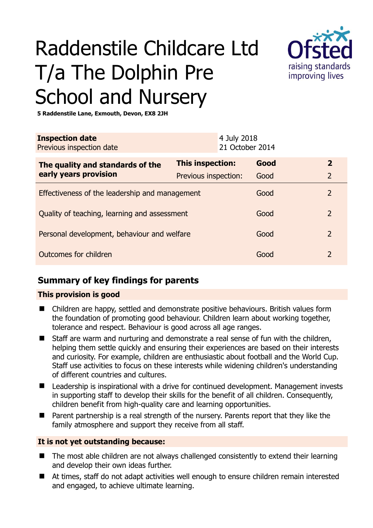# Raddenstile Childcare Ltd T/a The Dolphin Pre School and Nursery



**5 Raddenstile Lane, Exmouth, Devon, EX8 2JH** 

|                                                |  | Good                                     | $\mathbf{2}$                   |
|------------------------------------------------|--|------------------------------------------|--------------------------------|
|                                                |  | Good                                     | $\overline{2}$                 |
| Effectiveness of the leadership and management |  | Good                                     | $\overline{2}$                 |
| Quality of teaching, learning and assessment   |  | Good                                     | 2                              |
| Personal development, behaviour and welfare    |  | Good                                     | 2                              |
| Outcomes for children                          |  | Good                                     |                                |
|                                                |  | This inspection:<br>Previous inspection: | 4 July 2018<br>21 October 2014 |

# **Summary of key findings for parents**

## **This provision is good**

- Children are happy, settled and demonstrate positive behaviours. British values form the foundation of promoting good behaviour. Children learn about working together, tolerance and respect. Behaviour is good across all age ranges.
- Staff are warm and nurturing and demonstrate a real sense of fun with the children, helping them settle quickly and ensuring their experiences are based on their interests and curiosity. For example, children are enthusiastic about football and the World Cup. Staff use activities to focus on these interests while widening children's understanding of different countries and cultures.
- Leadership is inspirational with a drive for continued development. Management invests in supporting staff to develop their skills for the benefit of all children. Consequently, children benefit from high-quality care and learning opportunities.
- Parent partnership is a real strength of the nursery. Parents report that they like the family atmosphere and support they receive from all staff.

## **It is not yet outstanding because:**

- The most able children are not always challenged consistently to extend their learning and develop their own ideas further.
- At times, staff do not adapt activities well enough to ensure children remain interested and engaged, to achieve ultimate learning.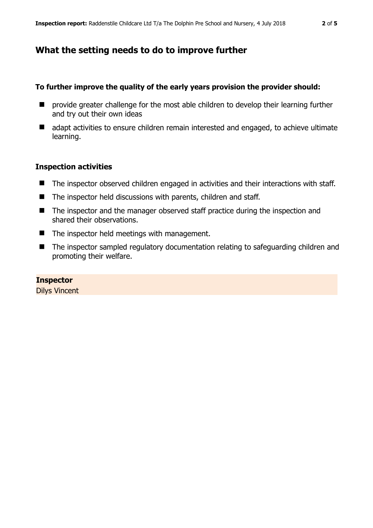# **What the setting needs to do to improve further**

## **To further improve the quality of the early years provision the provider should:**

- **E** provide greater challenge for the most able children to develop their learning further and try out their own ideas
- adapt activities to ensure children remain interested and engaged, to achieve ultimate learning.

## **Inspection activities**

- The inspector observed children engaged in activities and their interactions with staff.
- The inspector held discussions with parents, children and staff.
- The inspector and the manager observed staff practice during the inspection and shared their observations.
- The inspector held meetings with management.
- The inspector sampled regulatory documentation relating to safeguarding children and promoting their welfare.

## **Inspector**

Dilys Vincent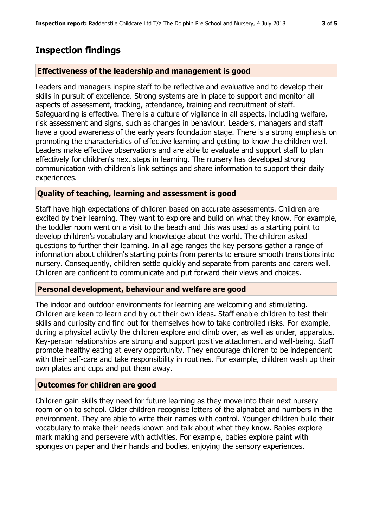## **Inspection findings**

#### **Effectiveness of the leadership and management is good**

Leaders and managers inspire staff to be reflective and evaluative and to develop their skills in pursuit of excellence. Strong systems are in place to support and monitor all aspects of assessment, tracking, attendance, training and recruitment of staff. Safeguarding is effective. There is a culture of vigilance in all aspects, including welfare, risk assessment and signs, such as changes in behaviour. Leaders, managers and staff have a good awareness of the early years foundation stage. There is a strong emphasis on promoting the characteristics of effective learning and getting to know the children well. Leaders make effective observations and are able to evaluate and support staff to plan effectively for children's next steps in learning. The nursery has developed strong communication with children's link settings and share information to support their daily experiences.

#### **Quality of teaching, learning and assessment is good**

Staff have high expectations of children based on accurate assessments. Children are excited by their learning. They want to explore and build on what they know. For example, the toddler room went on a visit to the beach and this was used as a starting point to develop children's vocabulary and knowledge about the world. The children asked questions to further their learning. In all age ranges the key persons gather a range of information about children's starting points from parents to ensure smooth transitions into nursery. Consequently, children settle quickly and separate from parents and carers well. Children are confident to communicate and put forward their views and choices.

#### **Personal development, behaviour and welfare are good**

The indoor and outdoor environments for learning are welcoming and stimulating. Children are keen to learn and try out their own ideas. Staff enable children to test their skills and curiosity and find out for themselves how to take controlled risks. For example, during a physical activity the children explore and climb over, as well as under, apparatus. Key-person relationships are strong and support positive attachment and well-being. Staff promote healthy eating at every opportunity. They encourage children to be independent with their self-care and take responsibility in routines. For example, children wash up their own plates and cups and put them away.

#### **Outcomes for children are good**

Children gain skills they need for future learning as they move into their next nursery room or on to school. Older children recognise letters of the alphabet and numbers in the environment. They are able to write their names with control. Younger children build their vocabulary to make their needs known and talk about what they know. Babies explore mark making and persevere with activities. For example, babies explore paint with sponges on paper and their hands and bodies, enjoying the sensory experiences.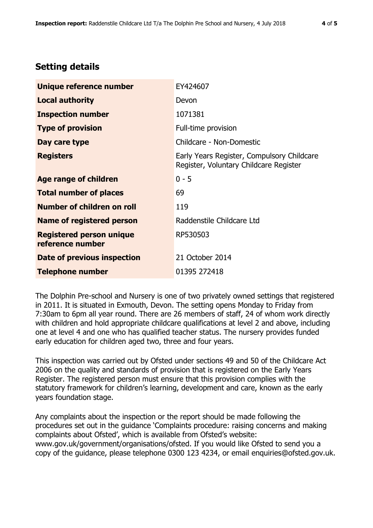# **Setting details**

| Unique reference number                             | EY424607                                                                             |
|-----------------------------------------------------|--------------------------------------------------------------------------------------|
| <b>Local authority</b>                              | Devon                                                                                |
| <b>Inspection number</b>                            | 1071381                                                                              |
| <b>Type of provision</b>                            | Full-time provision                                                                  |
| Day care type                                       | Childcare - Non-Domestic                                                             |
| <b>Registers</b>                                    | Early Years Register, Compulsory Childcare<br>Register, Voluntary Childcare Register |
| Age range of children                               | $0 - 5$                                                                              |
| <b>Total number of places</b>                       | 69                                                                                   |
| Number of children on roll                          | 119                                                                                  |
| Name of registered person                           | Raddenstile Childcare Ltd                                                            |
| <b>Registered person unique</b><br>reference number | RP530503                                                                             |
| Date of previous inspection                         | 21 October 2014                                                                      |
| <b>Telephone number</b>                             | 01395 272418                                                                         |

The Dolphin Pre-school and Nursery is one of two privately owned settings that registered in 2011. It is situated in Exmouth, Devon. The setting opens Monday to Friday from 7:30am to 6pm all year round. There are 26 members of staff, 24 of whom work directly with children and hold appropriate childcare qualifications at level 2 and above, including one at level 4 and one who has qualified teacher status. The nursery provides funded early education for children aged two, three and four years.

This inspection was carried out by Ofsted under sections 49 and 50 of the Childcare Act 2006 on the quality and standards of provision that is registered on the Early Years Register. The registered person must ensure that this provision complies with the statutory framework for children's learning, development and care, known as the early years foundation stage.

Any complaints about the inspection or the report should be made following the procedures set out in the guidance 'Complaints procedure: raising concerns and making complaints about Ofsted', which is available from Ofsted's website: www.gov.uk/government/organisations/ofsted. If you would like Ofsted to send you a copy of the guidance, please telephone 0300 123 4234, or email enquiries@ofsted.gov.uk.